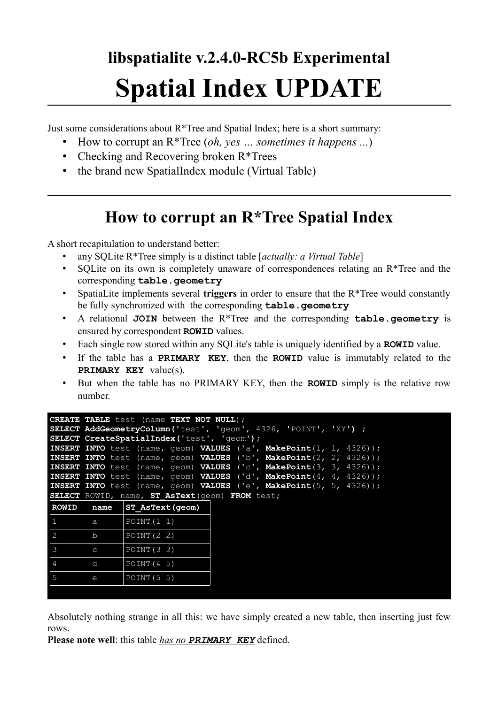# **libspatialite v.2.4.0-RC5b Experimental Spatial Index UPDATE**

Just some considerations about R\*Tree and Spatial Index; here is a short summary:

- How to corrupt an R\*Tree (*oh, yes … sometimes it happens ...*)
- Checking and Recovering broken R\*Trees
- the brand new SpatialIndex module (Virtual Table)

# **How to corrupt an R\*Tree Spatial Index**

A short recapitulation to understand better:

- any SQLite R\*Tree simply is a distinct table [*actually: a Virtual Table*]
- SQLite on its own is completely unaware of correspondences relating an R\*Tree and the corresponding **table.geometry**
- SpatiaLite implements several **triggers** in order to ensure that the R\*Tree would constantly be fully synchronized with the corresponding **table.geometry**
- A relational **JOIN** between the R\*Tree and the corresponding **table.geometry** is ensured by correspondent **ROWID** values.
- Each single row stored within any SQLite's table is uniquely identified by a **ROWID** value.
- If the table has a **PRIMARY KEY**, then the **ROWID** value is immutably related to the **PRIMARY KEY** value(s).
- But when the table has no PRIMARY KEY, then the **ROWID** simply is the relative row number.

|               |                                                 | <b>CREATE TABLE</b> test (name TEXT NOT NULL);<br><b>SELECT AddGeometryColumn ('test', 'qeom', 4326, 'POINT', 'XY') ;</b> |  |  |  |  |  |  |  |
|---------------|-------------------------------------------------|---------------------------------------------------------------------------------------------------------------------------|--|--|--|--|--|--|--|
|               |                                                 | <b>SELECT CreateSpatialIndex('test', 'geom');</b>                                                                         |  |  |  |  |  |  |  |
|               |                                                 | <b>INSERT INTO</b> test (name, geom) <b>VALUES</b> ('a', <b>MakePoint</b> (1, 1, 4326));                                  |  |  |  |  |  |  |  |
|               |                                                 | <b>INSERT INTO</b> test (name, geom) <b>VALUES</b> ('b', MakePoint(2, 2, 4326));                                          |  |  |  |  |  |  |  |
|               |                                                 | <b>INSERT INTO</b> test (name, geom) <b>VALUES</b> ('c', MakePoint(3, 3, 4326));                                          |  |  |  |  |  |  |  |
|               |                                                 | INSERT INTO test (name, geom) VALUES ('d', MakePoint(4, 4, 4326));                                                        |  |  |  |  |  |  |  |
|               |                                                 | <b>INSERT INTO</b> test (name, geom) <b>VALUES</b> ('e', MakePoint(5, 5, 4326));                                          |  |  |  |  |  |  |  |
|               | SELECT ROWID, name, ST AsText (geom) FROM test; |                                                                                                                           |  |  |  |  |  |  |  |
| <b>ROWID</b>  | name                                            | ST AsText (geom)                                                                                                          |  |  |  |  |  |  |  |
| $\mathbf{1}$  | a                                               | POINT(1 1)                                                                                                                |  |  |  |  |  |  |  |
| 2             | $b$                                             | POINT $(2 2)$                                                                                                             |  |  |  |  |  |  |  |
| $\mathcal{E}$ | $\mathbf C$                                     | POLNT(3, 3)                                                                                                               |  |  |  |  |  |  |  |
| 4             | d                                               | POINT(4 5)                                                                                                                |  |  |  |  |  |  |  |
| 5             | $\mathsf{e}$                                    | POINT (5 5)                                                                                                               |  |  |  |  |  |  |  |
|               |                                                 |                                                                                                                           |  |  |  |  |  |  |  |

Absolutely nothing strange in all this: we have simply created a new table, then inserting just few rows.

**Please note well**: this table *has no PRIMARY KEY* defined.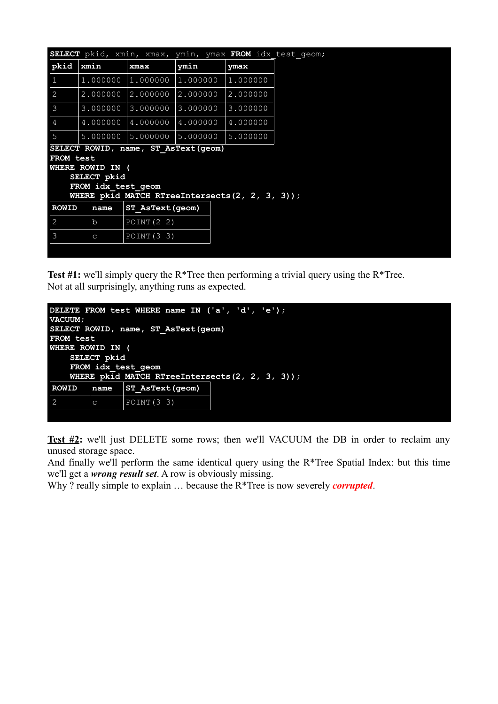| SELECT pkid, xmin, xmax, ymin, ymax FROM idx test geom;                  |              |               |          |          |  |  |  |
|--------------------------------------------------------------------------|--------------|---------------|----------|----------|--|--|--|
| $ $ pkid                                                                 | xmin         | xmax          | ymin     | ymax     |  |  |  |
| 1                                                                        | 1.000000     | 1,000000      | 1,000000 | 1,000000 |  |  |  |
| $\vert$ 2                                                                | 2,000000     | 2.000000      | 2,000000 | 2.000000 |  |  |  |
| $\overline{\mathbf{3}}$                                                  | 3.000000     | 3.000000      | 3.000000 | 3.000000 |  |  |  |
| 4                                                                        | 4.000000     | 4.000000      | 4.000000 | 4.000000 |  |  |  |
| $5\phantom{.0}$                                                          | 5.000000     | 5.000000      | 5.000000 | 5.000000 |  |  |  |
| SELECT ROWID, name, ST AsText (geom)                                     |              |               |          |          |  |  |  |
| FROM test                                                                |              |               |          |          |  |  |  |
| WHERE ROWID IN (                                                         |              |               |          |          |  |  |  |
| SELECT pkid                                                              |              |               |          |          |  |  |  |
| FROM idx test geom<br>WHERE pkid MATCH RTreeIntersects( $2, 2, 3, 3$ )); |              |               |          |          |  |  |  |
| <b>ROWID</b><br>ST AsText (geom)<br>name                                 |              |               |          |          |  |  |  |
| 2                                                                        | $\mathbf b$  | POINT $(2 2)$ |          |          |  |  |  |
| $\overline{\mathbf{3}}$                                                  | $\mathsf{C}$ | POLNT(3, 3)   |          |          |  |  |  |
|                                                                          |              |               |          |          |  |  |  |

**Test #1:** we'll simply query the R\*Tree then performing a trivial query using the R\*Tree. Not at all surprisingly, anything runs as expected.

| DELETE FROM test WHERE name IN ('a', 'd', 'e');    |              |                        |  |  |  |  |  |  |
|----------------------------------------------------|--------------|------------------------|--|--|--|--|--|--|
| VACUUM;                                            |              |                        |  |  |  |  |  |  |
| SELECT ROWID, name, ST AsText(qeom)                |              |                        |  |  |  |  |  |  |
| <b>FROM test</b>                                   |              |                        |  |  |  |  |  |  |
| <b>WHERE ROWID IN (</b>                            |              |                        |  |  |  |  |  |  |
| SELECT pkid                                        |              |                        |  |  |  |  |  |  |
| FROM idx test geom                                 |              |                        |  |  |  |  |  |  |
| WHERE pkid MATCH RTreeIntersects( $2, 2, 3, 3$ )); |              |                        |  |  |  |  |  |  |
| <b>ROWID</b>                                       | name         | <b>ST AsText(geom)</b> |  |  |  |  |  |  |
| $\overline{2}$                                     | $\mathsf{C}$ | POINT (3 3)            |  |  |  |  |  |  |
|                                                    |              |                        |  |  |  |  |  |  |

**Test #2:** we'll just DELETE some rows; then we'll VACUUM the DB in order to reclaim any unused storage space.

And finally we'll perform the same identical query using the R\*Tree Spatial Index: but this time we'll get a *wrong result set*. A row is obviously missing.

Why ? really simple to explain ... because the R<sup>\*</sup>Tree is now severely *corrupted*.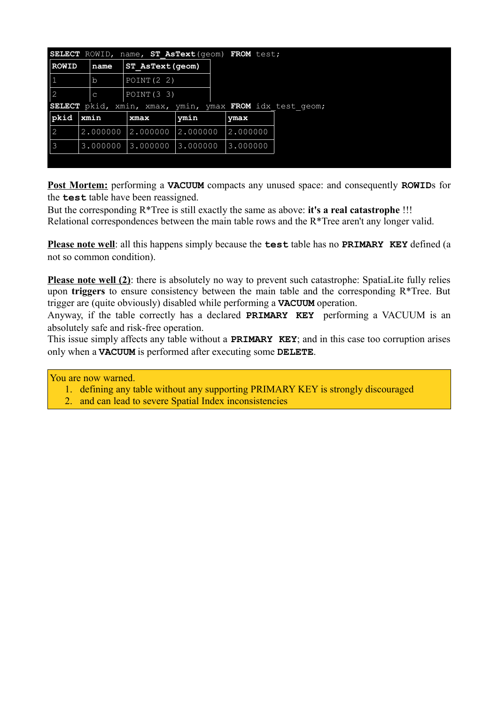|                                                                      |          |  | <b>SELECT</b> ROWID, name, ST AsText (geom) FROM test; |          |          |  |  |
|----------------------------------------------------------------------|----------|--|--------------------------------------------------------|----------|----------|--|--|
| <b>ROWID</b>                                                         | name     |  | ST AsText (geom)                                       |          |          |  |  |
| $\mathbf{1}$                                                         | lb       |  | POINT $(2 2)$                                          |          |          |  |  |
| $\vert$ 2                                                            | l C      |  | POLNT(3, 3)                                            |          |          |  |  |
| xmin, xmax, ymin, ymax FROM idx test geom;<br>pkid,<br><b>SELECT</b> |          |  |                                                        |          |          |  |  |
| $\vert$ pkid                                                         | xmin     |  | xmax                                                   | ymin     | ymax     |  |  |
| $\vert$ 2                                                            | 2.000000 |  | 2.000000                                               | 2.000000 | 2.000000 |  |  |
| $\vert$ 3                                                            | 3.000000 |  | 3.000000                                               | 3.000000 | 3.000000 |  |  |
|                                                                      |          |  |                                                        |          |          |  |  |

**Post Mortem:** performing a **VACUUM** compacts any unused space: and consequently **ROWID**s for the **test** table have been reassigned.

But the corresponding R\*Tree is still exactly the same as above: **it's a real catastrophe** !!! Relational correspondences between the main table rows and the R\*Tree aren't any longer valid.

**Please note well**: all this happens simply because the **test** table has no **PRIMARY KEY** defined (a not so common condition).

**Please note well (2)**: there is absolutely no way to prevent such catastrophe: SpatiaLite fully relies upon **triggers** to ensure consistency between the main table and the corresponding R\*Tree. But trigger are (quite obviously) disabled while performing a **VACUUM** operation.

Anyway, if the table correctly has a declared **PRIMARY KEY** performing a VACUUM is an absolutely safe and risk-free operation.

This issue simply affects any table without a **PRIMARY KEY**; and in this case too corruption arises only when a **VACUUM** is performed after executing some **DELETE**.

#### You are now warned.

- 1. defining any table without any supporting PRIMARY KEY is strongly discouraged
- 2. and can lead to severe Spatial Index inconsistencies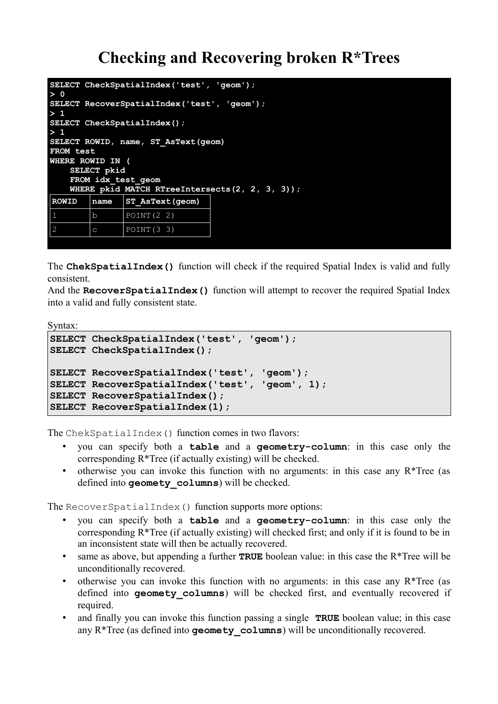## **Checking and Recovering broken R\*Trees**

```
SELECT CheckSpatialIndex('test', 'geom');
> 0
SELECT RecoverSpatialIndex('test', 'geom');
> 1
SELECT CheckSpatialIndex();
> 1
SELECT ROWID, name, ST_AsText(geom)
FROM test
WHERE ROWID IN (
    SELECT pkid
    FROM idx_test_geom
   WHERE pkid MATCH RTreeIntersects(2, 2, 3, 3));
ROWID name ST_AsText(geom)
        b POINT(2 2)
2 |c| POINT (3 3)
```
The **ChekSpatialIndex()** function will check if the required Spatial Index is valid and fully consistent.

And the **RecoverSpatialIndex()** function will attempt to recover the required Spatial Index into a valid and fully consistent state.

Syntax:

```
SELECT CheckSpatialIndex('test', 'geom');
SELECT CheckSpatialIndex();
SELECT RecoverSpatialIndex('test', 'geom');
SELECT RecoverSpatialIndex('test', 'geom', 1);
SELECT RecoverSpatialIndex();
SELECT RecoverSpatialIndex(1);
```
The ChekSpatialIndex() function comes in two flavors:

- you can specify both a **table** and a **geometry-column**: in this case only the corresponding R\*Tree (if actually existing) will be checked.
- otherwise you can invoke this function with no arguments: in this case any  $R*Tree$  (as defined into **geomety\_columns**) will be checked.

The Recover Spatial Index () function supports more options:

- you can specify both a **table** and a **geometry-column**: in this case only the corresponding  $R^*$ Tree (if actually existing) will checked first; and only if it is found to be in an inconsistent state will then be actually recovered.
- same as above, but appending a further **TRUE** boolean value: in this case the R<sup>\*</sup>Tree will be unconditionally recovered.
- otherwise you can invoke this function with no arguments: in this case any R\*Tree (as defined into **geomety** columns) will be checked first, and eventually recovered if required.
- and finally you can invoke this function passing a single **TRUE** boolean value; in this case any R<sup>\*</sup>Tree (as defined into **geomety** columns) will be unconditionally recovered.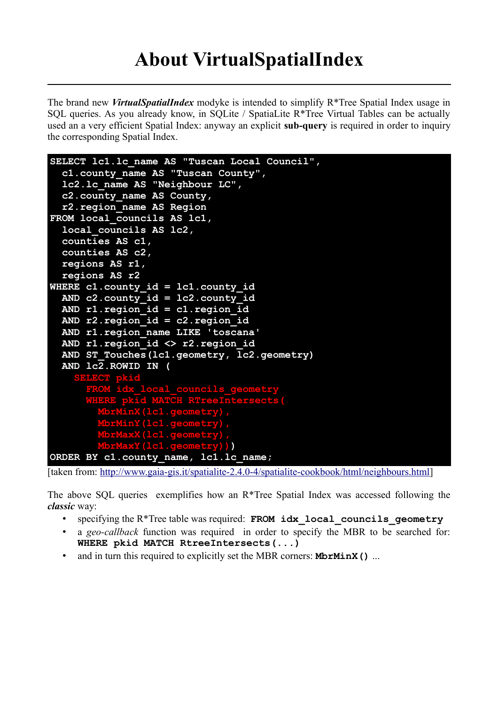The brand new *VirtualSpatialIndex* modyke is intended to simplify R\*Tree Spatial Index usage in SQL queries. As you already know, in SQLite / SpatiaLite R\*Tree Virtual Tables can be actually used an a very efficient Spatial Index: anyway an explicit **sub-query** is required in order to inquiry the corresponding Spatial Index.

```
SELECT lc1.lc_name AS "Tuscan Local Council",
  c1.county_name AS "Tuscan County",
  lc2.lc_name AS "Neighbour LC",
  c2.county_name AS County,
  r2.region_name AS Region
FROM local_councils AS lc1,
  local_councils AS lc2,
  counties AS c1, 
  counties AS c2,
  regions AS r1,
  regions AS r2
WHERE c1.county_id = lc1.county_id
  AND c2.county_id = lc2.county_id
  AND r1.region_id = c1.region_id
  AND r2.region_id = c2.region_id
  AND r1.region_name LIKE 'toscana'
  AND r1.region_id <> r2.region_id
  AND ST_Touches(lc1.geometry, lc2.geometry)
  AND lc2.ROWID IN (
    SELECT pkid
      FROM idx_local_councils_geometry
      WHERE pkid MATCH RTreeIntersects(
        MbrMinX(lc1.geometry),
        MbrMinY(lc1.geometry),
        MbrMaxX(lc1.geometry),
        MbrMaxY(lc1.geometry)))
ORDER BY c1.county_name, lc1.lc_name;
```
[taken from: [http://www.gaia-gis.it/spatialite-2.4.0-4/spatialite-cookbook/html/neighbours.html\]](http://www.gaia-gis.it/spatialite-2.4.0-4/spatialite-cookbook/html/neighbours.html)

The above SQL queries exemplifies how an R\*Tree Spatial Index was accessed following the *classic* way:

- specifying the R\*Tree table was required: **FROM idx\_local\_councils\_geometry**
- a *geo-callback* function was required in order to specify the MBR to be searched for: **WHERE pkid MATCH RtreeIntersects(...)**
- and in turn this required to explicitly set the MBR corners: **MbrMinX()** ...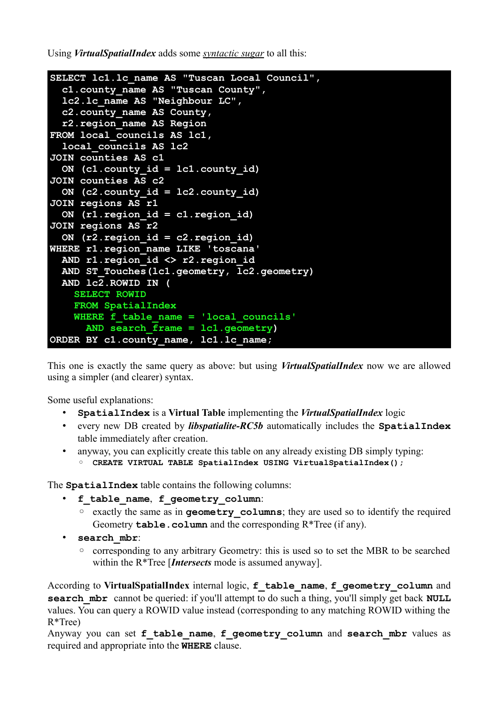Using *VirtualSpatialIndex* adds some *syntactic sugar* to all this:

```
SELECT lc1.lc_name AS "Tuscan Local Council",
   c1.county_name AS "Tuscan County",
   lc2.lc_name AS "Neighbour LC",
   c2.county_name AS County,
  r2.region_name AS Region
FROM local_councils AS lc1,
   local_councils AS lc2
JOIN counties AS c1
   ON (c1.county_id = lc1.county_id)
JOIN counties AS c2
   ON (c2.county_id = lc2.county_id)
JOIN regions AS r1
   ON (r1.region_id = c1.region_id)
JOIN regions AS r2
   ON (r2.region_id = c2.region_id)
WHERE r1.region_name LIKE 'toscana'
   AND r1.region_id <> r2.region_id
   AND ST_Touches(lc1.geometry, lc2.geometry)
   AND lc2.ROWID IN (
     SELECT ROWID
     FROM SpatialIndex
    WHERE f table name = 'local councils'
       AND search_frame = lc1.geometry)
ORDER BY c1.county_name, lc1.lc_name;
```
This one is exactly the same query as above: but using *VirtualSpatialIndex* now we are allowed using a simpler (and clearer) syntax.

Some useful explanations:

- **SpatialIndex** is a **Virtual Table** implementing the *VirtualSpatialIndex* logic
- every new DB created by *libspatialite-RC5b* automatically includes the **SpatialIndex** table immediately after creation.
- anyway, you can explicitly create this table on any already existing DB simply typing: ◦ **CREATE VIRTUAL TABLE SpatialIndex USING VirtualSpatialIndex();**

The **SpatialIndex** table contains the following columns:

- **f\_table\_name**, **f\_geometry\_column**:
	- exactly the same as in **geometry\_columns**; they are used so to identify the required Geometry **table.column** and the corresponding R\*Tree (if any).
- **search\_mbr**:
	- corresponding to any arbitrary Geometry: this is used so to set the MBR to be searched within the R\*Tree [*Intersects* mode is assumed anyway].

According to **VirtualSpatialIndex** internal logic, **f\_table\_name**, **f\_geometry\_column** and **search mbr** cannot be queried: if you'll attempt to do such a thing, you'll simply get back **NULL** values. You can query a ROWID value instead (corresponding to any matching ROWID withing the R\*Tree)

Anyway you can set f table name, f geometry column and search mbr values as required and appropriate into the **WHERE** clause.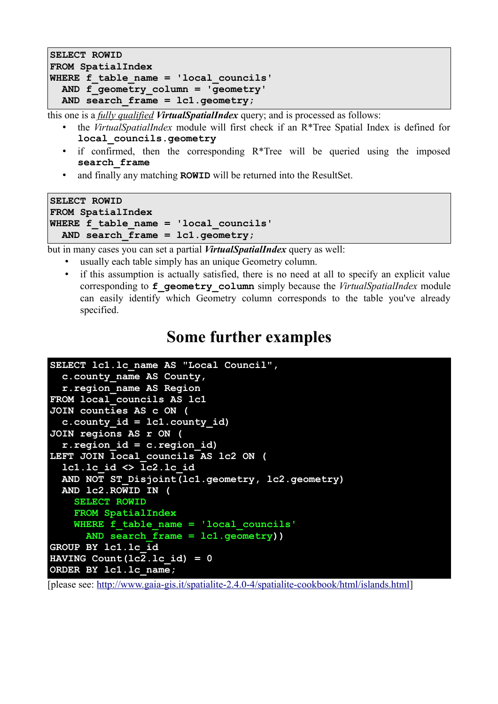```
SELECT ROWID
FROM SpatialIndex
WHERE f_table_name = 'local_councils' 
   AND f_geometry_column = 'geometry'
  AND search_frame = lc1.geometry;
```
this one is a *fully qualified VirtualSpatialIndex* query; and is processed as follows:

- the *VirtualSpatialIndex* module will first check if an R\*Tree Spatial Index is defined for **local\_councils.geometry**
- if confirmed, then the corresponding  $R^*$ Tree will be queried using the imposed **search\_frame**
- and finally any matching **ROWID** will be returned into the ResultSet.

```
SELECT ROWID
FROM SpatialIndex
WHERE f_table_name = 'local_councils' 
  AND search_frame = lc1.geometry;
```
but in many cases you can set a partial *VirtualSpatialIndex* query as well:

- usually each table simply has an unique Geometry column.
- if this assumption is actually satisfied, there is no need at all to specify an explicit value corresponding to **f\_geometry\_column** simply because the *VirtualSpatialIndex* module can easily identify which Geometry column corresponds to the table you've already specified.

### **Some further examples**

```
SELECT lc1.lc_name AS "Local Council",
   c.county_name AS County,
   r.region_name AS Region
FROM local_councils AS lc1
JOIN counties AS c ON (
   c.county_id = lc1.county_id)
JOIN regions AS r ON (
   r.region_id = c.region_id)
LEFT JOIN local_councils AS lc2 ON (
   lc1.lc_id <> lc2.lc_id
   AND NOT ST_Disjoint(lc1.geometry, lc2.geometry)
   AND lc2.ROWID IN (
     SELECT ROWID 
     FROM SpatialIndex
     WHERE f_table_name = 'local_councils'
       AND search_frame = lc1.geometry))
GROUP BY lc1.lc_id
HAVING Count (lc2.1c id) = 0ORDER BY lc1.lc_name;
```
[please see: [http://www.gaia-gis.it/spatialite-2.4.0-4/spatialite-cookbook/html/islands.html\]](http://www.gaia-gis.it/spatialite-2.4.0-4/spatialite-cookbook/html/islands.html)